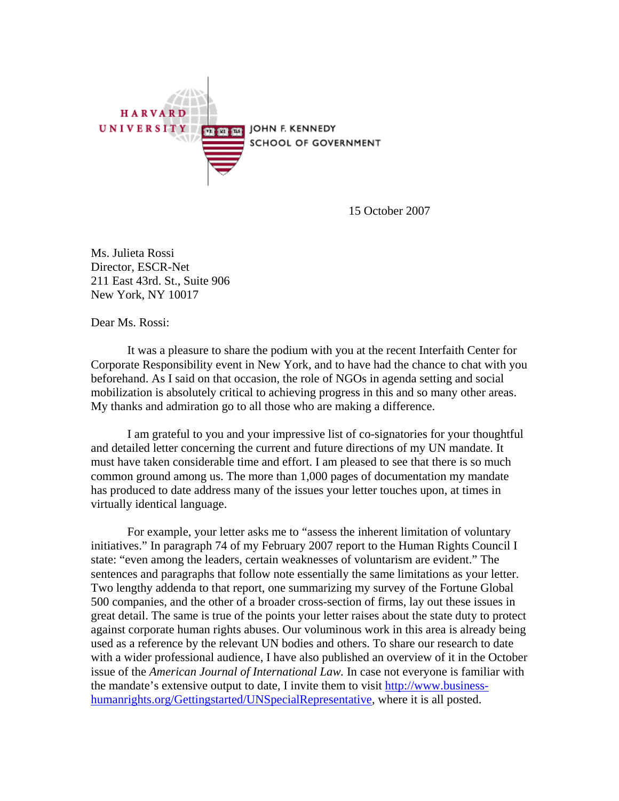

15 October 2007

Ms. Julieta Rossi Director, ESCR-Net 211 East 43rd. St., Suite 906 New York, NY 10017

Dear Ms. Rossi:

 It was a pleasure to share the podium with you at the recent Interfaith Center for Corporate Responsibility event in New York, and to have had the chance to chat with you beforehand. As I said on that occasion, the role of NGOs in agenda setting and social mobilization is absolutely critical to achieving progress in this and so many other areas. My thanks and admiration go to all those who are making a difference.

 I am grateful to you and your impressive list of co-signatories for your thoughtful and detailed letter concerning the current and future directions of my UN mandate. It must have taken considerable time and effort. I am pleased to see that there is so much common ground among us. The more than 1,000 pages of documentation my mandate has produced to date address many of the issues your letter touches upon, at times in virtually identical language.

For example, your letter asks me to "assess the inherent limitation of voluntary initiatives." In paragraph 74 of my February 2007 report to the Human Rights Council I state: "even among the leaders, certain weaknesses of voluntarism are evident." The sentences and paragraphs that follow note essentially the same limitations as your letter. Two lengthy addenda to that report, one summarizing my survey of the Fortune Global 500 companies, and the other of a broader cross-section of firms, lay out these issues in great detail. The same is true of the points your letter raises about the state duty to protect against corporate human rights abuses. Our voluminous work in this area is already being used as a reference by the relevant UN bodies and others. To share our research to date with a wider professional audience, I have also published an overview of it in the October issue of the *American Journal of International Law.* In case not everyone is familiar with the mandate's extensive output to date, I invite them to visit [http://www.business](http://www.business-humanrights.org/Gettingstarted/UNSpecialRepresentative)[humanrights.org/Gettingstarted/UNSpecialRepresentative](http://www.business-humanrights.org/Gettingstarted/UNSpecialRepresentative), where it is all posted.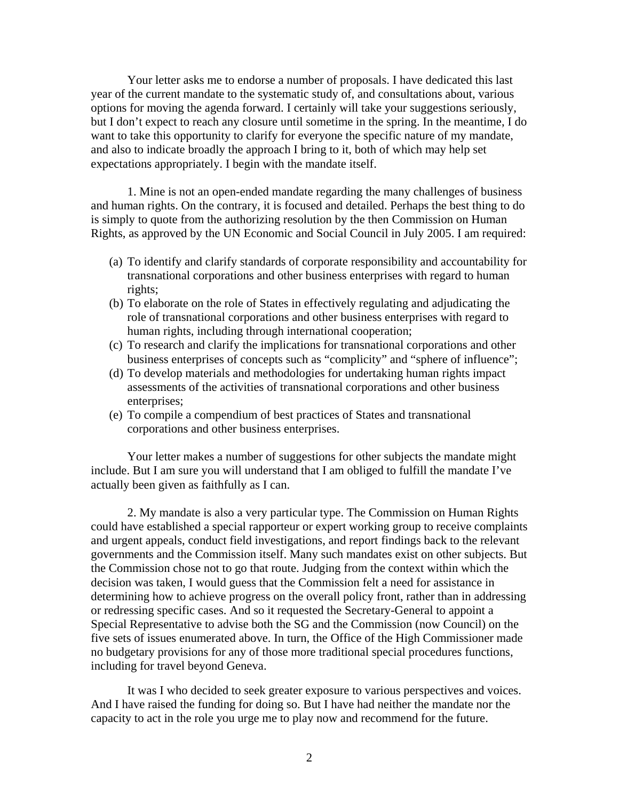Your letter asks me to endorse a number of proposals. I have dedicated this last year of the current mandate to the systematic study of, and consultations about, various options for moving the agenda forward. I certainly will take your suggestions seriously, but I don't expect to reach any closure until sometime in the spring. In the meantime, I do want to take this opportunity to clarify for everyone the specific nature of my mandate, and also to indicate broadly the approach I bring to it, both of which may help set expectations appropriately. I begin with the mandate itself.

 1. Mine is not an open-ended mandate regarding the many challenges of business and human rights. On the contrary, it is focused and detailed. Perhaps the best thing to do is simply to quote from the authorizing resolution by the then Commission on Human Rights, as approved by the UN Economic and Social Council in July 2005. I am required:

- (a) To identify and clarify standards of corporate responsibility and accountability for transnational corporations and other business enterprises with regard to human rights;
- (b) To elaborate on the role of States in effectively regulating and adjudicating the role of transnational corporations and other business enterprises with regard to human rights, including through international cooperation;
- (c) To research and clarify the implications for transnational corporations and other business enterprises of concepts such as "complicity" and "sphere of influence";
- (d) To develop materials and methodologies for undertaking human rights impact assessments of the activities of transnational corporations and other business enterprises;
- (e) To compile a compendium of best practices of States and transnational corporations and other business enterprises.

Your letter makes a number of suggestions for other subjects the mandate might include. But I am sure you will understand that I am obliged to fulfill the mandate I've actually been given as faithfully as I can.

2. My mandate is also a very particular type. The Commission on Human Rights could have established a special rapporteur or expert working group to receive complaints and urgent appeals, conduct field investigations, and report findings back to the relevant governments and the Commission itself. Many such mandates exist on other subjects. But the Commission chose not to go that route. Judging from the context within which the decision was taken, I would guess that the Commission felt a need for assistance in determining how to achieve progress on the overall policy front, rather than in addressing or redressing specific cases. And so it requested the Secretary-General to appoint a Special Representative to advise both the SG and the Commission (now Council) on the five sets of issues enumerated above. In turn, the Office of the High Commissioner made no budgetary provisions for any of those more traditional special procedures functions, including for travel beyond Geneva.

It was I who decided to seek greater exposure to various perspectives and voices. And I have raised the funding for doing so. But I have had neither the mandate nor the capacity to act in the role you urge me to play now and recommend for the future.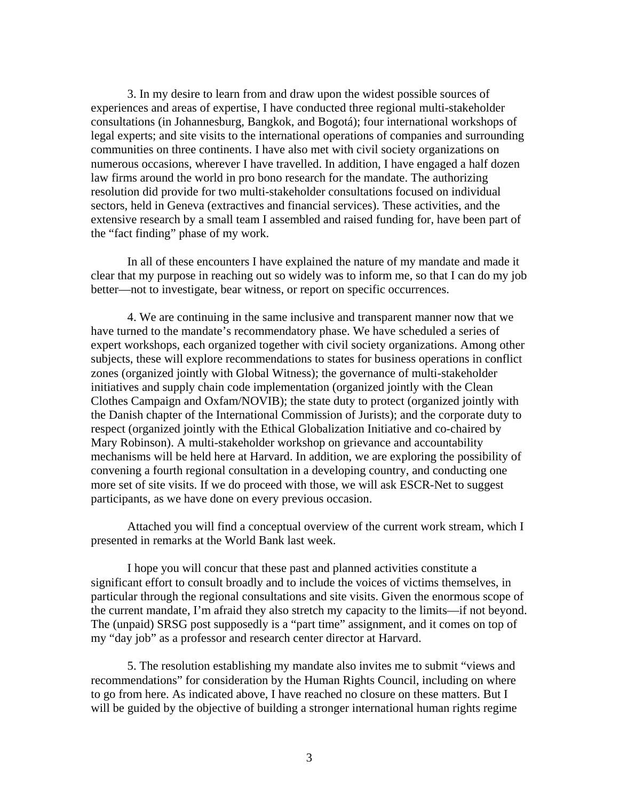3. In my desire to learn from and draw upon the widest possible sources of experiences and areas of expertise, I have conducted three regional multi-stakeholder consultations (in Johannesburg, Bangkok, and Bogotá); four international workshops of legal experts; and site visits to the international operations of companies and surrounding communities on three continents. I have also met with civil society organizations on numerous occasions, wherever I have travelled. In addition, I have engaged a half dozen law firms around the world in pro bono research for the mandate. The authorizing resolution did provide for two multi-stakeholder consultations focused on individual sectors, held in Geneva (extractives and financial services). These activities, and the extensive research by a small team I assembled and raised funding for, have been part of the "fact finding" phase of my work.

In all of these encounters I have explained the nature of my mandate and made it clear that my purpose in reaching out so widely was to inform me, so that I can do my job better—not to investigate, bear witness, or report on specific occurrences.

4. We are continuing in the same inclusive and transparent manner now that we have turned to the mandate's recommendatory phase. We have scheduled a series of expert workshops, each organized together with civil society organizations. Among other subjects, these will explore recommendations to states for business operations in conflict zones (organized jointly with Global Witness); the governance of multi-stakeholder initiatives and supply chain code implementation (organized jointly with the Clean Clothes Campaign and Oxfam/NOVIB); the state duty to protect (organized jointly with the Danish chapter of the International Commission of Jurists); and the corporate duty to respect (organized jointly with the Ethical Globalization Initiative and co-chaired by Mary Robinson). A multi-stakeholder workshop on grievance and accountability mechanisms will be held here at Harvard. In addition, we are exploring the possibility of convening a fourth regional consultation in a developing country, and conducting one more set of site visits. If we do proceed with those, we will ask ESCR-Net to suggest participants, as we have done on every previous occasion.

Attached you will find a conceptual overview of the current work stream, which I presented in remarks at the World Bank last week.

I hope you will concur that these past and planned activities constitute a significant effort to consult broadly and to include the voices of victims themselves, in particular through the regional consultations and site visits. Given the enormous scope of the current mandate, I'm afraid they also stretch my capacity to the limits—if not beyond. The (unpaid) SRSG post supposedly is a "part time" assignment, and it comes on top of my "day job" as a professor and research center director at Harvard.

 5. The resolution establishing my mandate also invites me to submit "views and recommendations" for consideration by the Human Rights Council, including on where to go from here. As indicated above, I have reached no closure on these matters. But I will be guided by the objective of building a stronger international human rights regime